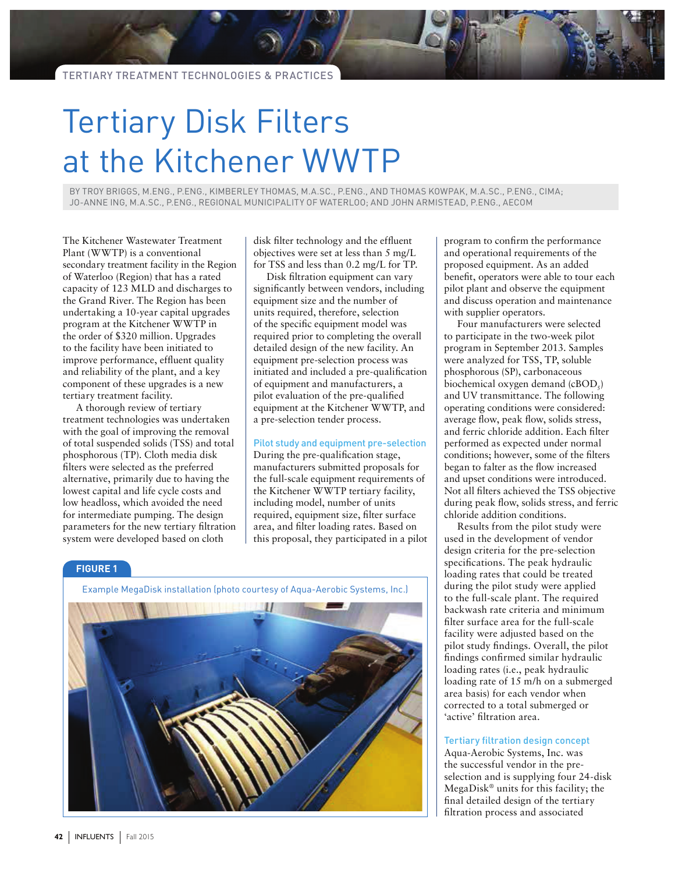# Tertiary Disk Filters at the Kitchener WWTP

BY TROY BRIGGS, M.ENG., P.ENG., KIMBERLEY THOMAS, M.A.SC., P.ENG., AND THOMAS KOWPAK, M.A.SC., P.ENG., CIMA; JO-ANNE ING, M.A.SC., P.ENG., REGIONAL MUNICIPALITY OF WATERLOO; AND JOHN ARMISTEAD, P.ENG., AECOM

The Kitchener Wastewater Treatment Plant (WWTP) is a conventional secondary treatment facility in the Region of Waterloo (Region) that has a rated capacity of 123 MLD and discharges to the Grand River. The Region has been undertaking a 10-year capital upgrades program at the Kitchener WWTP in the order of \$320 million. Upgrades to the facility have been initiated to improve performance, effluent quality and reliability of the plant, and a key component of these upgrades is a new tertiary treatment facility.

A thorough review of tertiary treatment technologies was undertaken with the goal of improving the removal of total suspended solids (TSS) and total phosphorous (TP). Cloth media disk filters were selected as the preferred alternative, primarily due to having the lowest capital and life cycle costs and low headloss, which avoided the need for intermediate pumping. The design parameters for the new tertiary filtration system were developed based on cloth

disk filter technology and the effluent objectives were set at less than 5 mg/L for TSS and less than 0.2 mg/L for TP.

Disk filtration equipment can vary significantly between vendors, including equipment size and the number of units required, therefore, selection of the specific equipment model was required prior to completing the overall detailed design of the new facility. An equipment pre-selection process was initiated and included a pre-qualification of equipment and manufacturers, a pilot evaluation of the pre-qualified equipment at the Kitchener WWTP, and a pre-selection tender process.

# Pilot study and equipment pre-selection

During the pre-qualification stage, manufacturers submitted proposals for the full-scale equipment requirements of the Kitchener WWTP tertiary facility, including model, number of units required, equipment size, filter surface area, and filter loading rates. Based on this proposal, they participated in a pilot

# **FIGURE 1**

Example MegaDisk installation (photo courtesy of Aqua-Aerobic Systems, Inc.)



program to confirm the performance and operational requirements of the proposed equipment. As an added benefit, operators were able to tour each pilot plant and observe the equipment and discuss operation and maintenance with supplier operators.

Four manufacturers were selected to participate in the two-week pilot program in September 2013. Samples were analyzed for TSS, TP, soluble phosphorous (SP), carbonaceous biochemical oxygen demand  $(cBOD<sub>5</sub>)$ and UV transmittance. The following operating conditions were considered: average flow, peak flow, solids stress, and ferric chloride addition. Each filter performed as expected under normal conditions; however, some of the filters began to falter as the flow increased and upset conditions were introduced. Not all filters achieved the TSS objective during peak flow, solids stress, and ferric chloride addition conditions.

Results from the pilot study were used in the development of vendor design criteria for the pre-selection specifications. The peak hydraulic loading rates that could be treated during the pilot study were applied to the full-scale plant. The required backwash rate criteria and minimum filter surface area for the full-scale facility were adjusted based on the pilot study findings. Overall, the pilot findings confirmed similar hydraulic loading rates (i.e., peak hydraulic loading rate of 15 m/h on a submerged area basis) for each vendor when corrected to a total submerged or 'active' filtration area.

# Tertiary filtration design concept

Aqua-Aerobic Systems, Inc. was the successful vendor in the preselection and is supplying four 24-disk MegaDisk® units for this facility; the final detailed design of the tertiary filtration process and associated